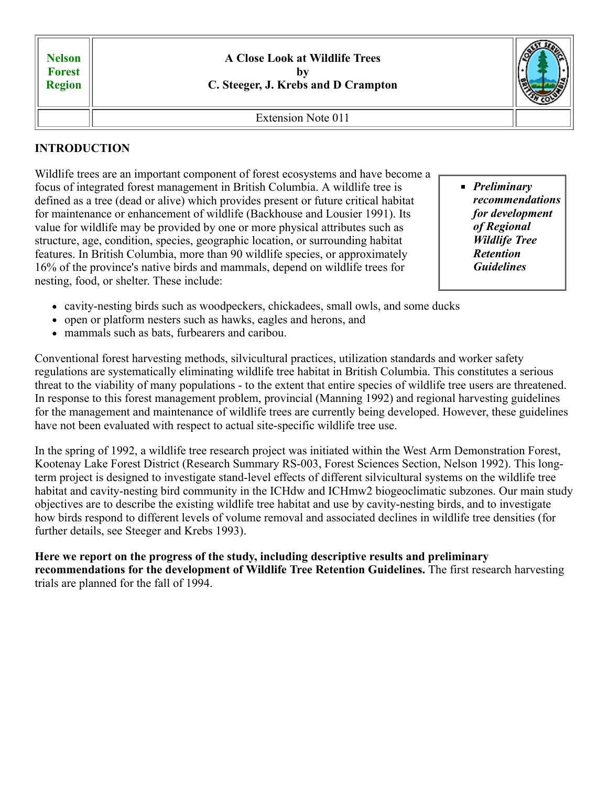| <b>Nelson</b><br><b>Forest</b><br><b>Region</b> | A Close Look at Wildlife Trees<br>C. Steeger, J. Krebs and D Crampton |  |
|-------------------------------------------------|-----------------------------------------------------------------------|--|
|                                                 | Extension Note 011                                                    |  |

# **INTRODUCTION**

Wildlife trees are an important component of forest ecosystems and have become a focus of integrated forest management in British Columbia. A wildlife tree is defined as a tree (dead or alive) which provides present or future critical habitat for maintenance or enhancement of wildlife (Backhouse and Lousier 1991). Its value for wildlife may be provided by one or more physical attributes such as structure, age, condition, species, geographic location, or surrounding habitat features. In British Columbia, more than 90 wildlife species, or approximately 16% of the province's native birds and mammals, depend on wildlife trees for nesting, food, or shelter. These include:

- *Preliminary recommendations for development of Regional Wildlife Tree Retention Guidelines*
- cavity-nesting birds such as woodpeckers, chickadees, small owls, and some ducks
- open or platform nesters such as hawks, eagles and herons, and
- mammals such as bats, furbearers and caribou.

Conventional forest harvesting methods, silvicultural practices, utilization standards and worker safety regulations are systematically eliminating wildlife tree habitat in British Columbia. This constitutes a serious threat to the viability of many populations - to the extent that entire species of wildlife tree users are threatened. In response to this forest management problem, provincial (Manning 1992) and regional harvesting guidelines for the management and maintenance of wildlife trees are currently being developed. However, these guidelines have not been evaluated with respect to actual site-specific wildlife tree use.

In the spring of 1992, a wildlife tree research project was initiated within the West Arm Demonstration Forest, Kootenay Lake Forest District (Research Summary RS-003, Forest Sciences Section, Nelson 1992). This longterm project is designed to investigate stand-level effects of different silvicultural systems on the wildlife tree habitat and cavity-nesting bird community in the ICHdw and ICHmw2 biogeoclimatic subzones. Our main study objectives are to describe the existing wildlife tree habitat and use by cavity-nesting birds, and to investigate how birds respond to different levels of volume removal and associated declines in wildlife tree densities (for further details, see Steeger and Krebs 1993).

**Here we report on the progress of the study, including descriptive results and preliminary recommendations for the development of Wildlife Tree Retention Guidelines.** The first research harvesting trials are planned for the fall of 1994.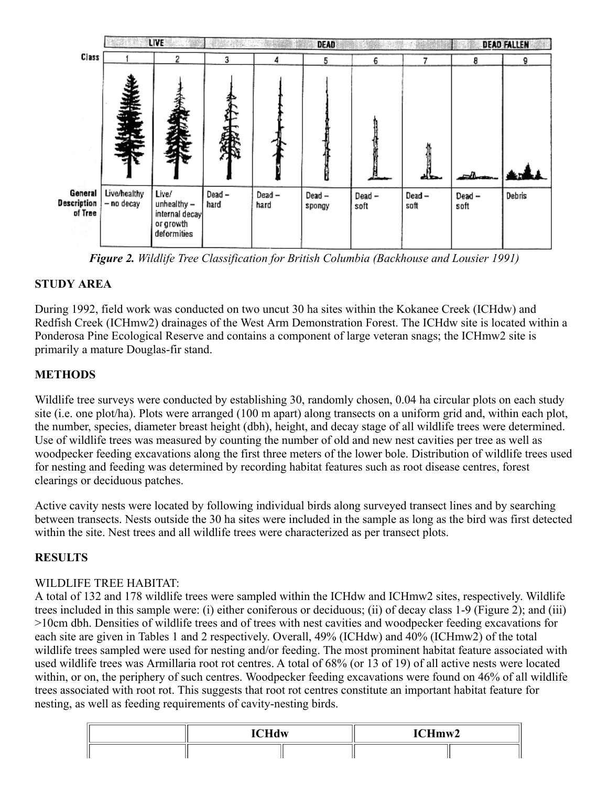

*Figure 2. Wildlife Tree Classification for British Columbia (Backhouse and Lousier 1991)*

## **STUDY AREA**

During 1992, field work was conducted on two uncut 30 ha sites within the Kokanee Creek (ICHdw) and Redfish Creek (ICHmw2) drainages of the West Arm Demonstration Forest. The ICHdw site is located within a Ponderosa Pine Ecological Reserve and contains a component of large veteran snags; the ICHmw2 site is primarily a mature Douglas-fir stand.

# **METHODS**

Wildlife tree surveys were conducted by establishing 30, randomly chosen, 0.04 ha circular plots on each study site (i.e. one plot/ha). Plots were arranged (100 m apart) along transects on a uniform grid and, within each plot, the number, species, diameter breast height (dbh), height, and decay stage of all wildlife trees were determined. Use of wildlife trees was measured by counting the number of old and new nest cavities per tree as well as woodpecker feeding excavations along the first three meters of the lower bole. Distribution of wildlife trees used for nesting and feeding was determined by recording habitat features such as root disease centres, forest clearings or deciduous patches.

Active cavity nests were located by following individual birds along surveyed transect lines and by searching between transects. Nests outside the 30 ha sites were included in the sample as long as the bird was first detected within the site. Nest trees and all wildlife trees were characterized as per transect plots.

## **RESULTS**

## WILDLIFE TREE HABITAT:

A total of 132 and 178 wildlife trees were sampled within the ICHdw and ICHmw2 sites, respectively. Wildlife trees included in this sample were: (i) either coniferous or deciduous; (ii) of decay class 1-9 (Figure 2); and (iii) >10cm dbh. Densities of wildlife trees and of trees with nest cavities and woodpecker feeding excavations for each site are given in Tables 1 and 2 respectively. Overall, 49% (ICHdw) and 40% (ICHmw2) of the total wildlife trees sampled were used for nesting and/or feeding. The most prominent habitat feature associated with used wildlife trees was Armillaria root rot centres. A total of 68% (or 13 of 19) of all active nests were located within, or on, the periphery of such centres. Woodpecker feeding excavations were found on 46% of all wildlife trees associated with root rot. This suggests that root rot centres constitute an important habitat feature for nesting, as well as feeding requirements of cavity-nesting birds.

| - --- -<br><b>ICHdw</b> | ICHmw2 |  |  |
|-------------------------|--------|--|--|
|                         |        |  |  |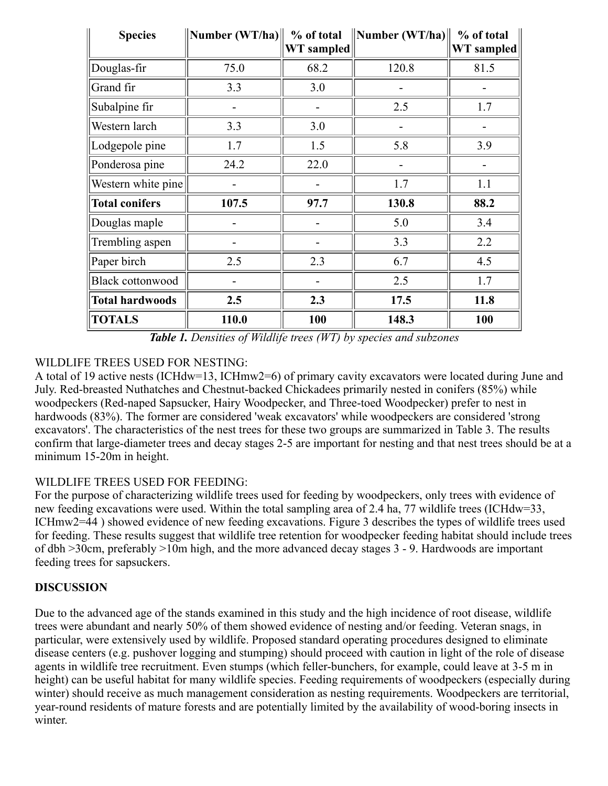| <b>Species</b>          | $\vert$ Number (WT/ha) $\vert\vert$ | % of total<br><b>WT</b> sampled | $\ $ Number (WT/ha) $\ $ | % of total<br>WT sampled |
|-------------------------|-------------------------------------|---------------------------------|--------------------------|--------------------------|
| Douglas-fir             | 75.0                                | 68.2                            | 120.8                    | 81.5                     |
| Grand fir               | 3.3                                 | 3.0                             |                          |                          |
| Subalpine fir           |                                     |                                 | 2.5                      | 1.7                      |
| Western larch           | 3.3                                 | 3.0                             |                          |                          |
| Lodgepole pine          | 1.7                                 | 1.5                             | 5.8                      | 3.9                      |
| Ponderosa pine          | 24.2                                | 22.0                            |                          |                          |
| Western white pine      |                                     |                                 | 1.7                      | 1.1                      |
| <b>Total conifers</b>   | 107.5                               | 97.7                            | 130.8                    | 88.2                     |
| Douglas maple           |                                     |                                 | 5.0                      | 3.4                      |
| Trembling aspen         |                                     |                                 | 3.3                      | 2.2                      |
| Paper birch             | 2.5                                 | 2.3                             | 6.7                      | 4.5                      |
| <b>Black cottonwood</b> |                                     |                                 | 2.5                      | 1.7                      |
| <b>Total hardwoods</b>  | 2.5                                 | 2.3                             | 17.5                     | 11.8                     |
| <b>TOTALS</b>           | 110.0                               | 100                             | 148.3                    | 100                      |

*Table 1. Densities of Wildlife trees (WT) by species and subzones*

# WILDLIFE TREES USED FOR NESTING:

A total of 19 active nests (ICHdw=13, ICHmw2=6) of primary cavity excavators were located during June and July. Red-breasted Nuthatches and Chestnut-backed Chickadees primarily nested in conifers (85%) while woodpeckers (Red-naped Sapsucker, Hairy Woodpecker, and Three-toed Woodpecker) prefer to nest in hardwoods (83%). The former are considered 'weak excavators' while woodpeckers are considered 'strong excavators'. The characteristics of the nest trees for these two groups are summarized in Table 3. The results confirm that large-diameter trees and decay stages 2-5 are important for nesting and that nest trees should be at a minimum 15-20m in height.

## WILDLIFE TREES USED FOR FEEDING:

For the purpose of characterizing wildlife trees used for feeding by woodpeckers, only trees with evidence of new feeding excavations were used. Within the total sampling area of 2.4 ha, 77 wildlife trees (ICHdw=33, ICHmw2=44 ) showed evidence of new feeding excavations. Figure 3 describes the types of wildlife trees used for feeding. These results suggest that wildlife tree retention for woodpecker feeding habitat should include trees of dbh >30cm, preferably >10m high, and the more advanced decay stages 3 - 9. Hardwoods are important feeding trees for sapsuckers.

## **DISCUSSION**

Due to the advanced age of the stands examined in this study and the high incidence of root disease, wildlife trees were abundant and nearly 50% of them showed evidence of nesting and/or feeding. Veteran snags, in particular, were extensively used by wildlife. Proposed standard operating procedures designed to eliminate disease centers (e.g. pushover logging and stumping) should proceed with caution in light of the role of disease agents in wildlife tree recruitment. Even stumps (which feller-bunchers, for example, could leave at 3-5 m in height) can be useful habitat for many wildlife species. Feeding requirements of woodpeckers (especially during winter) should receive as much management consideration as nesting requirements. Woodpeckers are territorial, year-round residents of mature forests and are potentially limited by the availability of wood-boring insects in winter.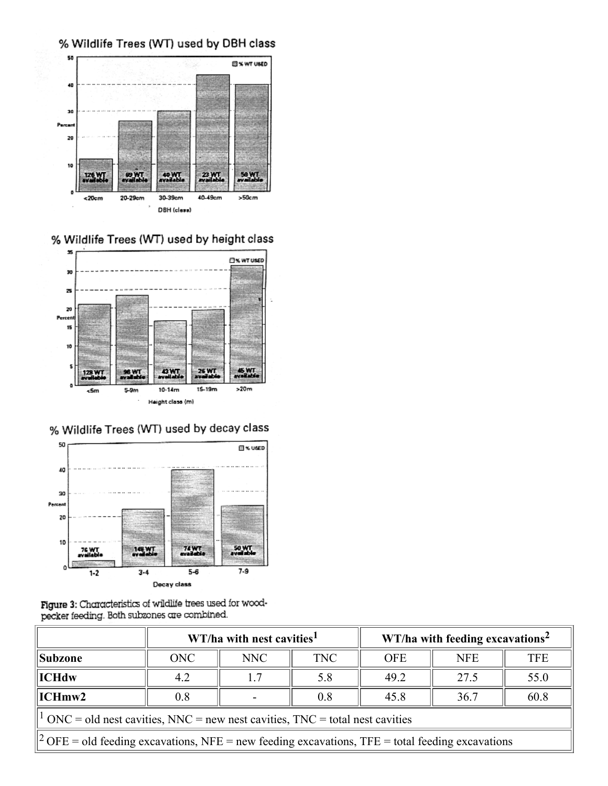



% Wildlife Trees (WT) used by height class



# % Wildlife Trees (WT) used by decay class



Figure 3: Characteristics of wildlife trees used for woodpecker feeding. Both subzones are combined.

|                                                                                                             | WT/ha with nest cavities <sup>1</sup> |     |            | $WT/ha$ with feeding excavations <sup>2</sup> |            |            |  |
|-------------------------------------------------------------------------------------------------------------|---------------------------------------|-----|------------|-----------------------------------------------|------------|------------|--|
| <b>Subzone</b>                                                                                              | <b>ONC</b>                            | NNC | <b>TNC</b> | <b>OFE</b>                                    | <b>NFE</b> | <b>TFE</b> |  |
| $\parallel$ ICHdw                                                                                           | 4.2                                   | 1.7 | 5.8        | 49.2                                          | 27.5       | 55.0       |  |
| $\vert$ ICHmw2                                                                                              | 0.8                                   |     | 0.8        | 45.8                                          | 36.7       | 60.8       |  |
| $\frac{1}{1}$ ONC = old nest cavities, NNC = new nest cavities, TNC = total nest cavities                   |                                       |     |            |                                               |            |            |  |
| $\parallel$ 2 OFE = old feeding excavations, NFE = new feeding excavations, TFE = total feeding excavations |                                       |     |            |                                               |            |            |  |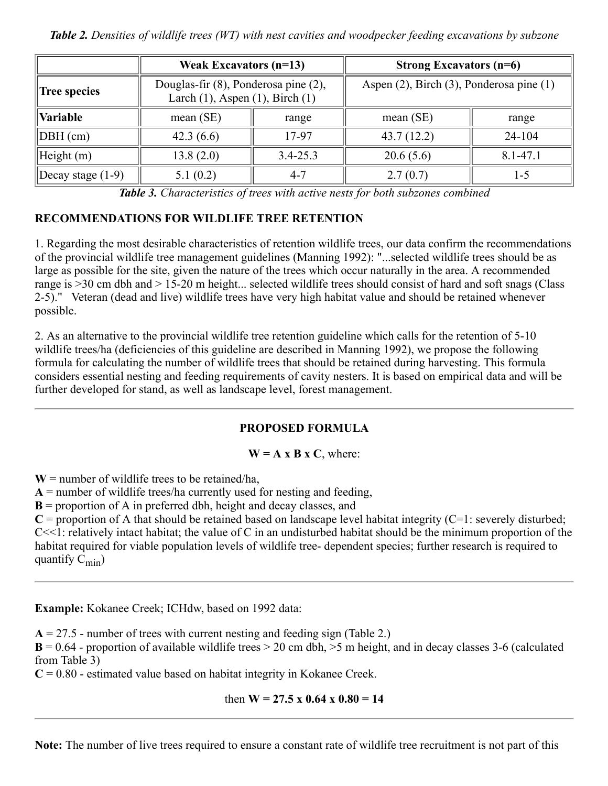*Table 2. Densities of wildlife trees (WT) with nest cavities and woodpecker feeding excavations by subzone*

|                     | Weak Excavators $(n=13)$                                                        |              | Strong Excavators $(n=6)$                |              |  |
|---------------------|---------------------------------------------------------------------------------|--------------|------------------------------------------|--------------|--|
| <b>Tree species</b> | Douglas-fir (8), Ponderosa pine (2),<br>Larch $(1)$ , Aspen $(1)$ , Birch $(1)$ |              | Aspen (2), Birch (3), Ponderosa pine (1) |              |  |
| <b>Variable</b>     | mean(SE)                                                                        | range        | mean(SE)                                 | range        |  |
| DBH (cm)            | 42.3 $(6.6)$                                                                    | 17-97        | 43.7(12.2)                               | $24 - 104$   |  |
| $H$ eight $(m)$     | 13.8(2.0)                                                                       | $3.4 - 25.3$ | 20.6(5.6)                                | $8.1 - 47.1$ |  |
| Decay stage $(1-9)$ | 5.1(0.2)                                                                        | $4 - 7$      | 2.7(0.7)                                 | 1-5          |  |

*Table 3. Characteristics of trees with active nests for both subzones combined*

## **RECOMMENDATIONS FOR WILDLIFE TREE RETENTION**

1. Regarding the most desirable characteristics of retention wildlife trees, our data confirm the recommendations of the provincial wildlife tree management guidelines (Manning 1992): "...selected wildlife trees should be as large as possible for the site, given the nature of the trees which occur naturally in the area. A recommended range is >30 cm dbh and > 15-20 m height... selected wildlife trees should consist of hard and soft snags (Class 2-5)." Veteran (dead and live) wildlife trees have very high habitat value and should be retained whenever possible.

2. As an alternative to the provincial wildlife tree retention guideline which calls for the retention of 5-10 wildlife trees/ha (deficiencies of this guideline are described in Manning 1992), we propose the following formula for calculating the number of wildlife trees that should be retained during harvesting. This formula considers essential nesting and feeding requirements of cavity nesters. It is based on empirical data and will be further developed for stand, as well as landscape level, forest management.

## **PROPOSED FORMULA**

#### $W = A x B x C$ , where:

 $W =$  number of wildlife trees to be retained/ha,

 $A =$  number of wildlife trees/ha currently used for nesting and feeding,

**B** = proportion of A in preferred dbh, height and decay classes, and

 $C =$  proportion of A that should be retained based on landscape level habitat integrity ( $C=1$ : severely disturbed;  $C \leq 1$ : relatively intact habitat; the value of C in an undisturbed habitat should be the minimum proportion of the habitat required for viable population levels of wildlife tree- dependent species; further research is required to quantify  $C_{min}$ )

**Example:** Kokanee Creek; ICHdw, based on 1992 data:

 $A = 27.5$  - number of trees with current nesting and feeding sign (Table 2.)

 $B = 0.64$  - proportion of available wildlife trees  $> 20$  cm dbh,  $> 5$  m height, and in decay classes 3-6 (calculated from Table 3)

 $C = 0.80$  - estimated value based on habitat integrity in Kokanee Creek.

## then  $W = 27.5 \times 0.64 \times 0.80 = 14$

**Note:** The number of live trees required to ensure a constant rate of wildlife tree recruitment is not part of this